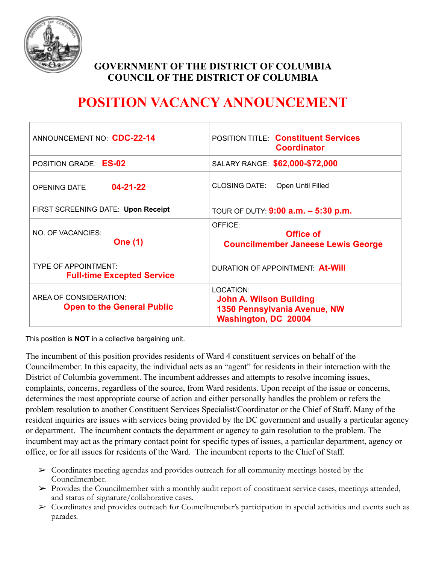

## **GOVERNMENT OF THE DISTRICT OF COLUMBIA COUNCIL OF THE DISTRICT OF COLUMBIA**

# **POSITION VACANCY ANNOUNCEMENT**

| ANNOUNCEMENT NO: CDC-22-14                                       | <b>POSITION TITLE: Constituent Services</b><br><b>Coordinator</b>                                   |
|------------------------------------------------------------------|-----------------------------------------------------------------------------------------------------|
| POSITION GRADE: ES-02                                            | SALARY RANGE: \$62,000-\$72,000                                                                     |
| $04 - 21 - 22$<br><b>OPENING DATE</b>                            | <b>CLOSING DATE:</b><br>Open Until Filled                                                           |
| FIRST SCREENING DATE: Upon Receipt                               | TOUR OF DUTY: $9:00$ a.m. $-5:30$ p.m.                                                              |
| NO. OF VACANCIES:<br><b>One (1)</b>                              | OFFICE:<br>Office of<br><b>Councilmember Janeese Lewis George</b>                                   |
| <b>TYPE OF APPOINTMENT:</b><br><b>Full-time Excepted Service</b> | DURATION OF APPOINTMENT: At-Will                                                                    |
| AREA OF CONSIDERATION:<br><b>Open to the General Public</b>      | LOCATION:<br><b>John A. Wilson Building</b><br>1350 Pennsylvania Avenue, NW<br>Washington, DC 20004 |

This position is **NOT** in a collective bargaining unit.

The incumbent of this position provides residents of Ward 4 constituent services on behalf of the Councilmember. In this capacity, the individual acts as an "agent" for residents in their interaction with the District of Columbia government. The incumbent addresses and attempts to resolve incoming issues, complaints, concerns, regardless of the source, from Ward residents. Upon receipt of the issue or concerns, determines the most appropriate course of action and either personally handles the problem or refers the problem resolution to another Constituent Services Specialist/Coordinator or the Chief of Staff. Many of the resident inquiries are issues with services being provided by the DC government and usually a particular agency or department. The incumbent contacts the department or agency to gain resolution to the problem. The incumbent may act as the primary contact point for specific types of issues, a particular department, agency or office, or for all issues for residents of the Ward. The incumbent reports to the Chief of Staff.

- $\triangleright$  Coordinates meeting agendas and provides outreach for all community meetings hosted by the Councilmember.
- ➢ Provides the Councilmember with a monthly audit report of constituent service cases, meetings attended, and status of signature/collaborative cases.
- ➢ Coordinates and provides outreach for Councilmember's participation in special activities and events such as parades.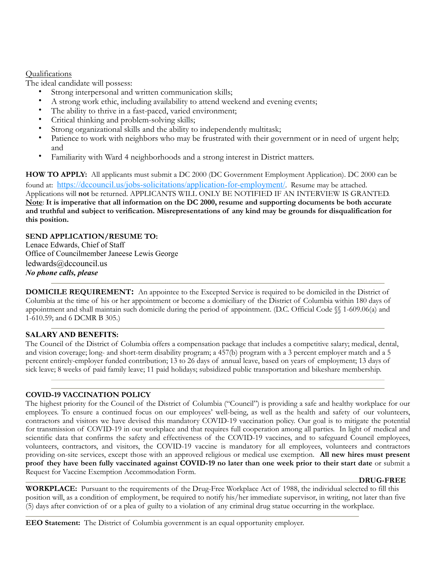#### Qualifications

The ideal candidate will possess:

- Strong interpersonal and written communication skills;
- A strong work ethic, including availability to attend weekend and evening events;
- The ability to thrive in a fast-paced, varied environment;
- Critical thinking and problem-solving skills;
- Strong organizational skills and the ability to independently multitask;
- Patience to work with neighbors who may be frustrated with their government or in need of urgent help; and
- Familiarity with Ward 4 neighborhoods and a strong interest in District matters.

**HOW TO APPLY:** All applicants must submit a DC 2000 (DC Government Employment Application). DC 2000 can be found at: <https://dccouncil.us/jobs-solicitations/application-for-employment/>. Resume may be attached. Applications will **not** be returned. APPLICANTS WILL ONLY BE NOTIFIED IF AN INTERVIEW IS GRANTED. **Note**: **It is imperative that all information on the DC 2000, resume and supporting documents be both accurate and truthful and subject to verification. Misrepresentations of any kind may be grounds for disqualification for this position.**

**SEND APPLICATION/RESUME TO:** Lenace Edwards, Chief of Staff Office of Councilmember Janeese Lewis George ledwards@dccouncil.us *No phone calls, please*

**DOMICILE REQUIREMENT:** An appointee to the Excepted Service is required to be domiciled in the District of Columbia at the time of his or her appointment or become a domiciliary of the District of Columbia within 180 days of appointment and shall maintain such domicile during the period of appointment. (D.C. Official Code §§ 1-609.06(a) and 1-610.59; and 6 DCMR B 305.)

### **SALARY AND BENEFITS:**

The Council of the District of Columbia offers a compensation package that includes a competitive salary; medical, dental, and vision coverage; long- and short-term disability program; a 457(b) program with a 3 percent employer match and a 5 percent entirely-employer funded contribution; 13 to 26 days of annual leave, based on years of employment; 13 days of sick leave; 8 weeks of paid family leave; 11 paid holidays; subsidized public transportation and bikeshare membership.

### **COVID-19 VACCINATION POLICY**

The highest priority for the Council of the District of Columbia ("Council") is providing a safe and healthy workplace for our employees. To ensure a continued focus on our employees' well-being, as well as the health and safety of our volunteers, contractors and visitors we have devised this mandatory COVID-19 vaccination policy. Our goal is to mitigate the potential for transmission of COVID-19 in our workplace and that requires full cooperation among all parties. In light of medical and scientific data that confirms the safety and effectiveness of the COVID-19 vaccines, and to safeguard Council employees, volunteers, contractors, and visitors, the COVID-19 vaccine is mandatory for all employees, volunteers and contractors providing on-site services, except those with an approved religious or medical use exemption. **All new hires must present proof they have been fully vaccinated against COVID-19 no later than one week prior to their start date** or submit a Request for Vaccine Exemption Accommodation Form.

#### **DRUG-FREE**

**WORKPLACE:** Pursuant to the requirements of the Drug-Free Workplace Act of 1988, the individual selected to fill this position will, as a condition of employment, be required to notify his/her immediate supervisor, in writing, not later than five (5) days after conviction of or a plea of guilty to a violation of any criminal drug statue occurring in the workplace.